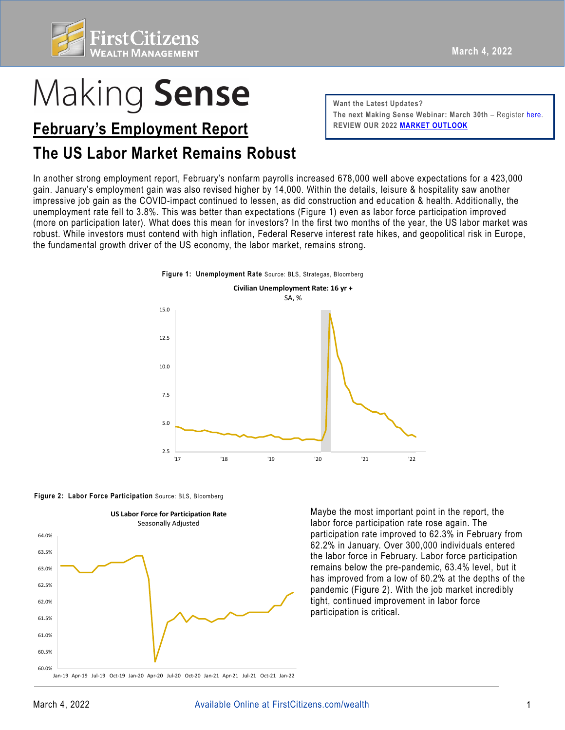

# Making Sense

## **February's Employment Report FEDER REVIEW OUR 2022 [MARKET OUTLOOK](https://www.firstcitizens.com/wealth/market-outlook)**

### **The US Labor Market Remains Robust**

**Want the Latest Updates?**  The next Making Sense Webinar: March 30th - Register [here](https://firstcitizens.webex.com/firstcitizens/onstage/g.php?MTID=e8c5359b8ed252c613ef704672b36a901).

 In another strong employment report, February's nonfarm payrolls increased 678,000 well above expectations for a 423,000 unemployment rate fell to 3.8%. This was better than expectations (Figure 1) even as labor force participation improved gain. January's employment gain was also revised higher by 14,000. Within the details, leisure & hospitality saw another impressive job gain as the COVID-impact continued to lessen, as did construction and education & health. Additionally, the (more on participation later). What does this mean for investors? In the first two months of the year, the US labor market was robust. While investors must contend with high inflation, Federal Reserve interest rate hikes, and geopolitical risk in Europe, the fundamental growth driver of the US economy, the labor market, remains strong.

**Figure 1: Unemployment Rate** Source: BLS, Strategas, Bloomberg







Maybe the most important point in the report, the labor force participation rate rose again. The participation rate improved to 62.3% in February from 62.2% in January. Over 300,000 individuals entered the labor force in February. Labor force participation remains below the pre-pandemic, 63.4% level, but it has improved from a low of 60.2% at the depths of the pandemic (Figure 2). With the job market incredibly tight, continued improvement in labor force participation is critical.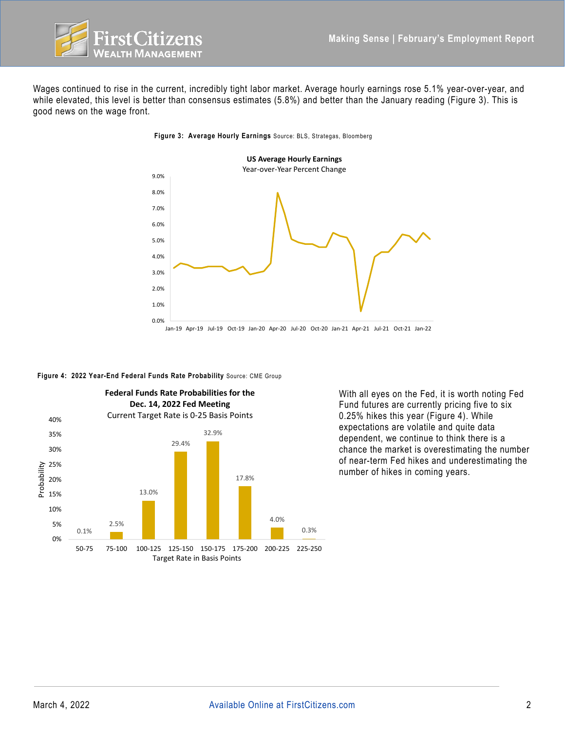

 Wages continued to rise in the current, incredibly tight labor market. Average hourly earnings rose 5.1% year-over-year, and while elevated, this level is better than consensus estimates (5.8%) and better than the January reading (Figure 3). This is good news on the wage front.



**Figure 3: Average Hourly Earnings** Source: BLS, Strategas, Bloomberg





With all eyes on the Fed, it is worth noting Fed Fund futures are currently pricing five to six 0.25% hikes this year (Figure 4). While expectations are volatile and quite data dependent, we continue to think there is a chance the market is overestimating the number of near-term Fed hikes and underestimating the number of hikes in coming years.